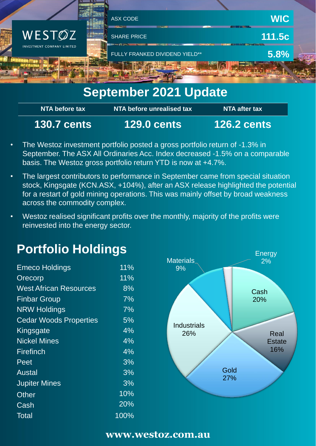

# **September 2021 Update**

| NTA before tax     | NTA before unrealised tax | NTA after tax      |
|--------------------|---------------------------|--------------------|
| <b>130.7 cents</b> | <b>129.0 cents</b>        | <b>126.2 cents</b> |

- The Westoz investment portfolio posted a gross portfolio return of -1.3% in September. The ASX All Ordinaries Acc. Index decreased -1.5% on a comparable basis. The Westoz gross portfolio return YTD is now at +4.7%.
- The largest contributors to performance in September came from special situation stock, Kingsgate (KCN.ASX, +104%), after an ASX release highlighted the potential for a restart of gold mining operations. This was mainly offset by broad weakness across the commodity complex.
- Westoz realised significant profits over the monthly, majority of the profits were reinvested into the energy sector.

# **Portfolio Holdings**

| <b>Emeco Holdings</b>         | 11%    |
|-------------------------------|--------|
| Orecorp                       | $11\%$ |
| <b>West African Resources</b> | 8%     |
| <b>Finbar Group</b>           | $7\%$  |
| <b>NRW Holdings</b>           | 7%     |
| <b>Cedar Woods Properties</b> | 5%     |
| Kingsgate                     | 4%     |
| <b>Nickel Mines</b>           | 4%     |
| Firefinch                     | $4\%$  |
| Peet                          | 3%     |
| Austal                        | 3%     |
| <b>Jupiter Mines</b>          | 3%     |
| Other                         | 10%    |
| Cash                          | 20%    |
| Total                         | 100%   |



### **www.westoz.com.au**